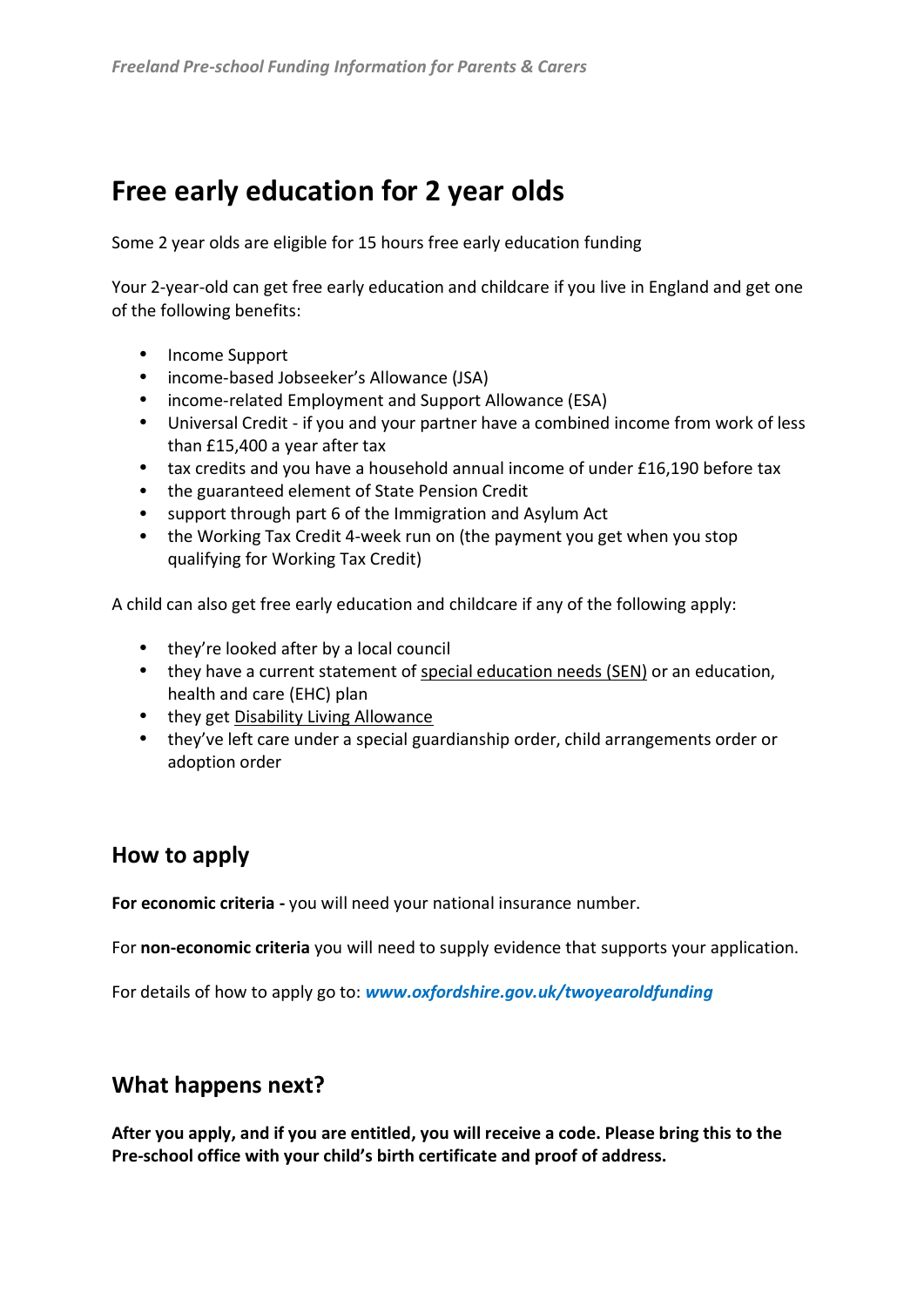# **Free early education for 2 year olds**

Some 2 year olds are eligible for 15 hours free early education funding

Your 2-year-old can get free early education and childcare if you live in England and get one of the following benefits:

- Income Support
- income-based Jobseeker's Allowance (JSA)
- income-related Employment and Support Allowance (ESA)
- Universal Credit if you and your partner have a combined income from work of less than £15,400 a year after tax
- tax credits and you have a household annual income of under £16,190 before tax
- the guaranteed element of State Pension Credit
- support through part 6 of the Immigration and Asylum Act
- the Working Tax Credit 4-week run on (the payment you get when you stop qualifying for Working Tax Credit)

A child can also get free early education and childcare if any of the following apply:

- they're looked after by a local council
- they have a current statement of special education needs (SEN) or an education, health and care (EHC) plan
- they get Disability Living Allowance
- they've left care under a special guardianship order, child arrangements order or adoption order

### **How to apply**

**For economic criteria -** you will need your national insurance number.

For **non-economic criteria** you will need to supply evidence that supports your application.

For details of how to apply go to: *www.oxfordshire.gov.uk/twoyearoldfunding*

### **What happens next?**

**After you apply, and if you are entitled, you will receive a code. Please bring this to the Pre-school office with your child's birth certificate and proof of address.**